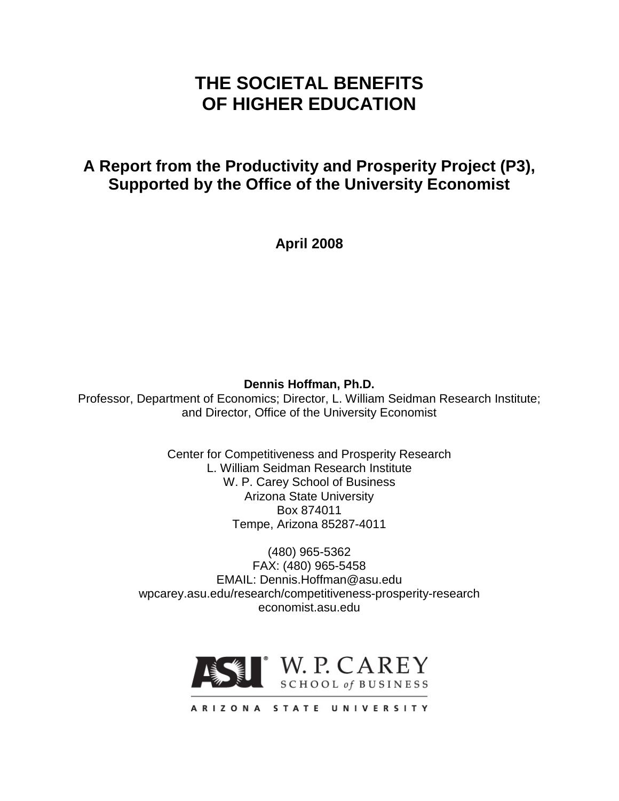# **THE SOCIETAL BENEFITS OF HIGHER EDUCATION**

## **A Report from the Productivity and Prosperity Project (P3), Supported by the Office of the University Economist**

**April 2008**

## **Dennis Hoffman, Ph.D.**

Professor, Department of Economics; Director, L. William Seidman Research Institute; and Director, Office of the University Economist

> Center for Competitiveness and Prosperity Research L. William Seidman Research Institute W. P. Carey School of Business Arizona State University Box 874011 Tempe, Arizona 85287-4011

(480) 965-5362 FAX: (480) 965-5458 EMAIL: Dennis.Hoffman@asu.edu wpcarey.asu.edu/research/competitiveness-prosperity-research economist.asu.edu



ARIZONA STATE UNIVERSITY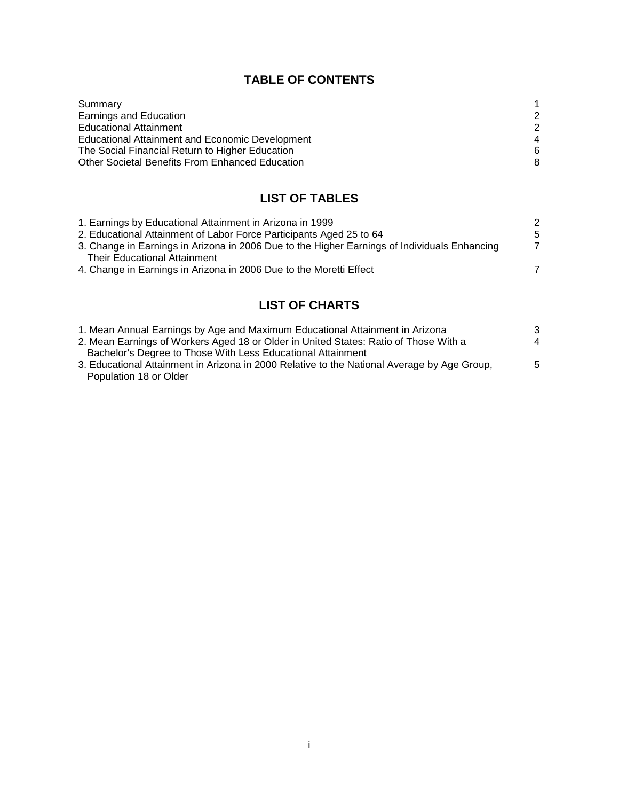## **TABLE OF CONTENTS**

| Summary                                                |   |
|--------------------------------------------------------|---|
| Earnings and Education                                 | 2 |
| <b>Educational Attainment</b>                          | 2 |
| <b>Educational Attainment and Economic Development</b> | 4 |
| The Social Financial Return to Higher Education        | 6 |
| Other Societal Benefits From Enhanced Education        | 8 |
|                                                        |   |

## **LIST OF TABLES**

| 1. Earnings by Educational Attainment in Arizona in 1999                                     | 2  |
|----------------------------------------------------------------------------------------------|----|
| 2. Educational Attainment of Labor Force Participants Aged 25 to 64                          | -5 |
| 3. Change in Earnings in Arizona in 2006 Due to the Higher Earnings of Individuals Enhancing | 7  |
| <b>Their Educational Attainment</b>                                                          |    |
| 4. Change in Earnings in Arizona in 2006 Due to the Moretti Effect                           |    |
|                                                                                              |    |

## **LIST OF CHARTS**

| 1. Mean Annual Earnings by Age and Maximum Educational Attainment in Arizona                | 3 |
|---------------------------------------------------------------------------------------------|---|
| 2. Mean Earnings of Workers Aged 18 or Older in United States: Ratio of Those With a        | 4 |
| Bachelor's Degree to Those With Less Educational Attainment                                 |   |
| 3. Educational Attainment in Arizona in 2000 Relative to the National Average by Age Group, | 5 |
| Population 18 or Older                                                                      |   |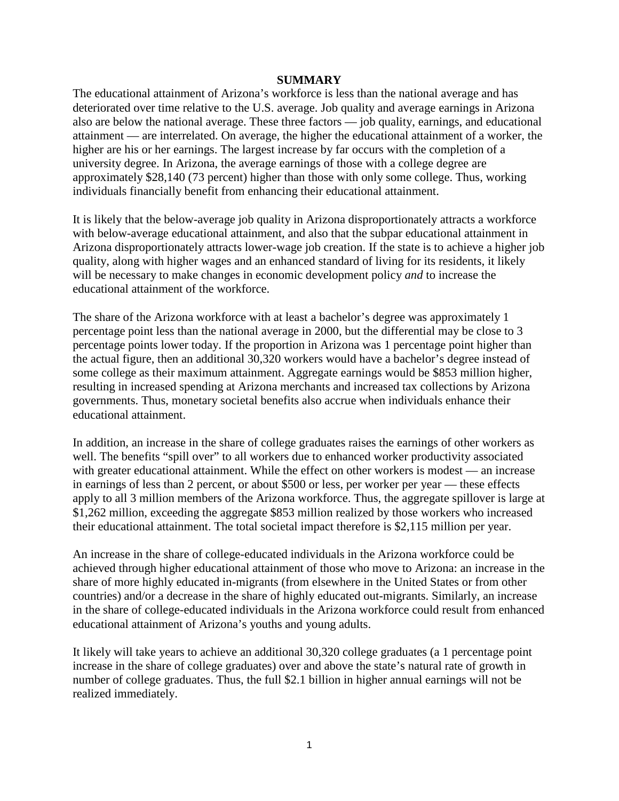#### **SUMMARY**

The educational attainment of Arizona's workforce is less than the national average and has deteriorated over time relative to the U.S. average. Job quality and average earnings in Arizona also are below the national average. These three factors — job quality, earnings, and educational attainment — are interrelated. On average, the higher the educational attainment of a worker, the higher are his or her earnings. The largest increase by far occurs with the completion of a university degree. In Arizona, the average earnings of those with a college degree are approximately \$28,140 (73 percent) higher than those with only some college. Thus, working individuals financially benefit from enhancing their educational attainment.

It is likely that the below-average job quality in Arizona disproportionately attracts a workforce with below-average educational attainment, and also that the subpar educational attainment in Arizona disproportionately attracts lower-wage job creation. If the state is to achieve a higher job quality, along with higher wages and an enhanced standard of living for its residents, it likely will be necessary to make changes in economic development policy *and* to increase the educational attainment of the workforce.

The share of the Arizona workforce with at least a bachelor's degree was approximately 1 percentage point less than the national average in 2000, but the differential may be close to 3 percentage points lower today. If the proportion in Arizona was 1 percentage point higher than the actual figure, then an additional 30,320 workers would have a bachelor's degree instead of some college as their maximum attainment. Aggregate earnings would be \$853 million higher, resulting in increased spending at Arizona merchants and increased tax collections by Arizona governments. Thus, monetary societal benefits also accrue when individuals enhance their educational attainment.

In addition, an increase in the share of college graduates raises the earnings of other workers as well. The benefits "spill over" to all workers due to enhanced worker productivity associated with greater educational attainment. While the effect on other workers is modest — an increase in earnings of less than 2 percent, or about \$500 or less, per worker per year — these effects apply to all 3 million members of the Arizona workforce. Thus, the aggregate spillover is large at \$1,262 million, exceeding the aggregate \$853 million realized by those workers who increased their educational attainment. The total societal impact therefore is \$2,115 million per year.

An increase in the share of college-educated individuals in the Arizona workforce could be achieved through higher educational attainment of those who move to Arizona: an increase in the share of more highly educated in-migrants (from elsewhere in the United States or from other countries) and/or a decrease in the share of highly educated out-migrants. Similarly, an increase in the share of college-educated individuals in the Arizona workforce could result from enhanced educational attainment of Arizona's youths and young adults.

It likely will take years to achieve an additional 30,320 college graduates (a 1 percentage point increase in the share of college graduates) over and above the state's natural rate of growth in number of college graduates. Thus, the full \$2.1 billion in higher annual earnings will not be realized immediately.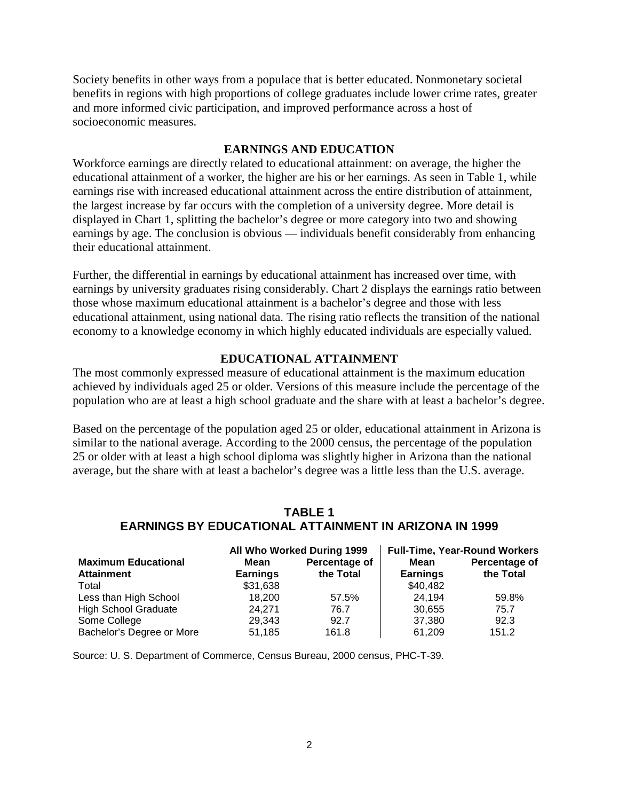Society benefits in other ways from a populace that is better educated. Nonmonetary societal benefits in regions with high proportions of college graduates include lower crime rates, greater and more informed civic participation, and improved performance across a host of socioeconomic measures.

#### **EARNINGS AND EDUCATION**

Workforce earnings are directly related to educational attainment: on average, the higher the educational attainment of a worker, the higher are his or her earnings. As seen in Table 1, while earnings rise with increased educational attainment across the entire distribution of attainment, the largest increase by far occurs with the completion of a university degree. More detail is displayed in Chart 1, splitting the bachelor's degree or more category into two and showing earnings by age. The conclusion is obvious — individuals benefit considerably from enhancing their educational attainment.

Further, the differential in earnings by educational attainment has increased over time, with earnings by university graduates rising considerably. Chart 2 displays the earnings ratio between those whose maximum educational attainment is a bachelor's degree and those with less educational attainment, using national data. The rising ratio reflects the transition of the national economy to a knowledge economy in which highly educated individuals are especially valued.

#### **EDUCATIONAL ATTAINMENT**

The most commonly expressed measure of educational attainment is the maximum education achieved by individuals aged 25 or older. Versions of this measure include the percentage of the population who are at least a high school graduate and the share with at least a bachelor's degree.

Based on the percentage of the population aged 25 or older, educational attainment in Arizona is similar to the national average. According to the 2000 census, the percentage of the population 25 or older with at least a high school diploma was slightly higher in Arizona than the national average, but the share with at least a bachelor's degree was a little less than the U.S. average.

## **TABLE 1 EARNINGS BY EDUCATIONAL ATTAINMENT IN ARIZONA IN 1999**

|                             |                 | All Who Worked During 1999 | <b>Full-Time, Year-Round Workers</b> |               |  |
|-----------------------------|-----------------|----------------------------|--------------------------------------|---------------|--|
| <b>Maximum Educational</b>  | Mean            | Percentage of              | Mean                                 | Percentage of |  |
| <b>Attainment</b>           | <b>Earnings</b> | the Total                  | <b>Earnings</b>                      | the Total     |  |
| Total                       | \$31,638        |                            | \$40,482                             |               |  |
| Less than High School       | 18.200          | 57.5%                      | 24.194                               | 59.8%         |  |
| <b>High School Graduate</b> | 24.271          | 76.7                       | 30,655                               | 75.7          |  |
| Some College                | 29,343          | 92.7                       | 37,380                               | 92.3          |  |
| Bachelor's Degree or More   | 51.185          | 161.8                      | 61.209                               | 151.2         |  |

Source: U. S. Department of Commerce, Census Bureau, 2000 census, PHC-T-39.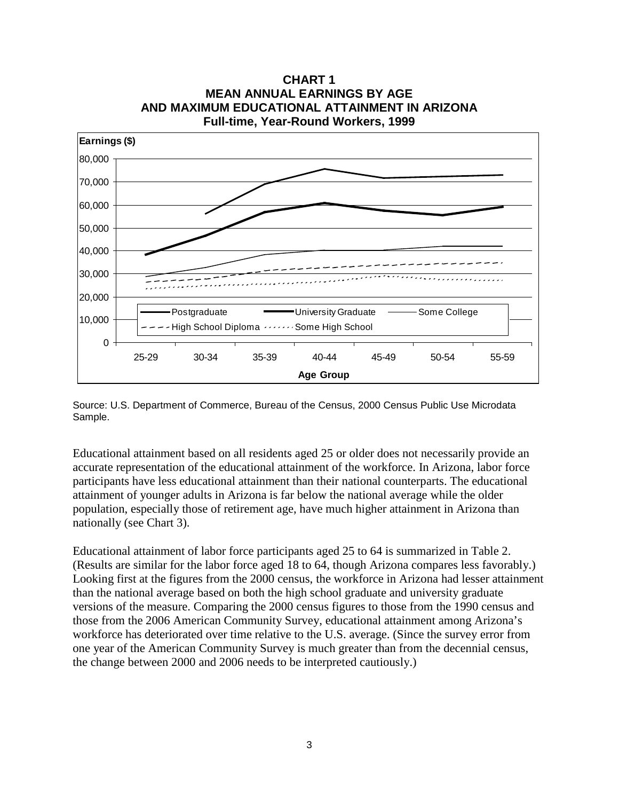

**CHART 1 MEAN ANNUAL EARNINGS BY AGE AND MAXIMUM EDUCATIONAL ATTAINMENT IN ARIZONA Full-time, Year-Round Workers, 1999**

Source: U.S. Department of Commerce, Bureau of the Census, 2000 Census Public Use Microdata Sample.

Educational attainment based on all residents aged 25 or older does not necessarily provide an accurate representation of the educational attainment of the workforce. In Arizona, labor force participants have less educational attainment than their national counterparts. The educational attainment of younger adults in Arizona is far below the national average while the older population, especially those of retirement age, have much higher attainment in Arizona than nationally (see Chart 3).

Educational attainment of labor force participants aged 25 to 64 is summarized in Table 2. (Results are similar for the labor force aged 18 to 64, though Arizona compares less favorably.) Looking first at the figures from the 2000 census, the workforce in Arizona had lesser attainment than the national average based on both the high school graduate and university graduate versions of the measure. Comparing the 2000 census figures to those from the 1990 census and those from the 2006 American Community Survey, educational attainment among Arizona's workforce has deteriorated over time relative to the U.S. average. (Since the survey error from one year of the American Community Survey is much greater than from the decennial census, the change between 2000 and 2006 needs to be interpreted cautiously.)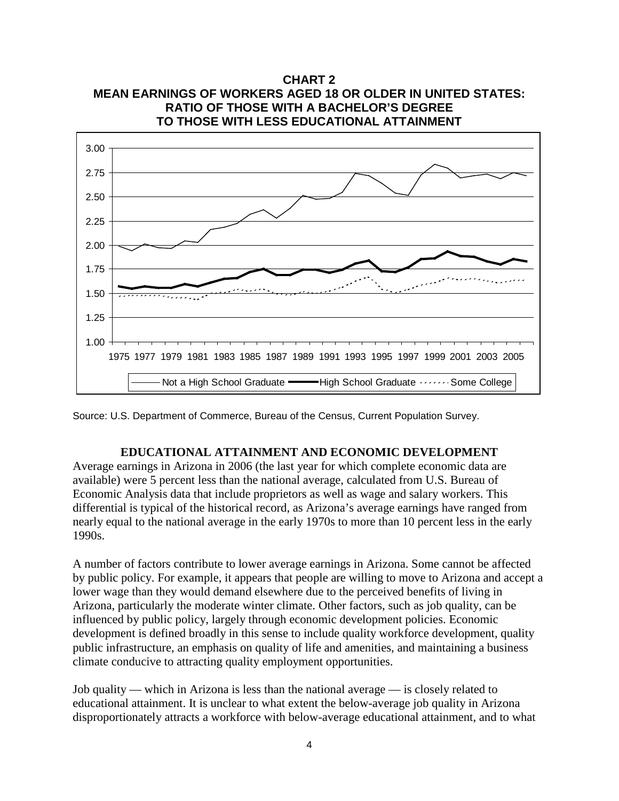

**CHART 2 MEAN EARNINGS OF WORKERS AGED 18 OR OLDER IN UNITED STATES:**

Source: U.S. Department of Commerce, Bureau of the Census, Current Population Survey.

#### **EDUCATIONAL ATTAINMENT AND ECONOMIC DEVELOPMENT**

Average earnings in Arizona in 2006 (the last year for which complete economic data are available) were 5 percent less than the national average, calculated from U.S. Bureau of Economic Analysis data that include proprietors as well as wage and salary workers. This differential is typical of the historical record, as Arizona's average earnings have ranged from nearly equal to the national average in the early 1970s to more than 10 percent less in the early 1990s.

A number of factors contribute to lower average earnings in Arizona. Some cannot be affected by public policy. For example, it appears that people are willing to move to Arizona and accept a lower wage than they would demand elsewhere due to the perceived benefits of living in Arizona, particularly the moderate winter climate. Other factors, such as job quality, can be influenced by public policy, largely through economic development policies. Economic development is defined broadly in this sense to include quality workforce development, quality public infrastructure, an emphasis on quality of life and amenities, and maintaining a business climate conducive to attracting quality employment opportunities.

Job quality — which in Arizona is less than the national average — is closely related to educational attainment. It is unclear to what extent the below-average job quality in Arizona disproportionately attracts a workforce with below-average educational attainment, and to what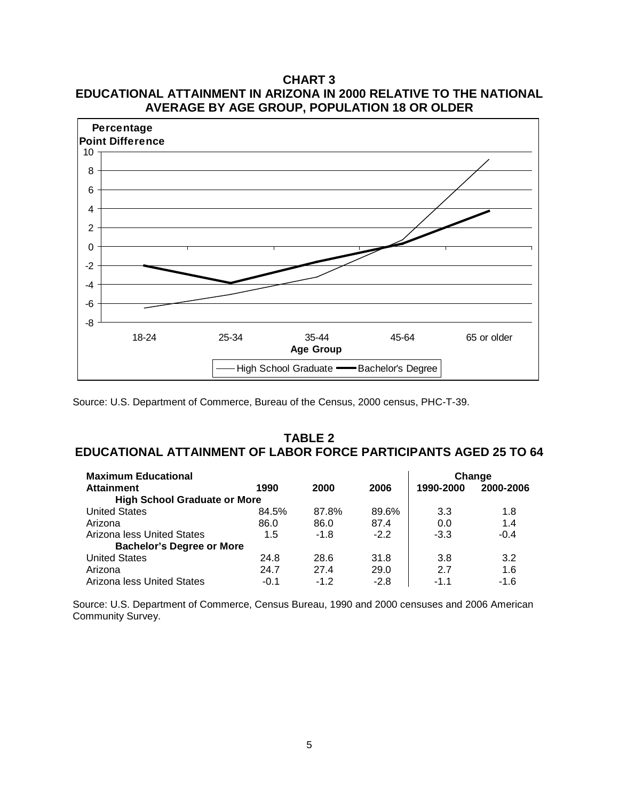## **CHART 3 EDUCATIONAL ATTAINMENT IN ARIZONA IN 2000 RELATIVE TO THE NATIONAL AVERAGE BY AGE GROUP, POPULATION 18 OR OLDER**



Source: U.S. Department of Commerce, Bureau of the Census, 2000 census, PHC-T-39.

### **TABLE 2 EDUCATIONAL ATTAINMENT OF LABOR FORCE PARTICIPANTS AGED 25 TO 64**

| <b>Maximum Educational</b>          |        |        |        |           | Change    |
|-------------------------------------|--------|--------|--------|-----------|-----------|
| <b>Attainment</b>                   | 1990   | 2000   | 2006   | 1990-2000 | 2000-2006 |
| <b>High School Graduate or More</b> |        |        |        |           |           |
| <b>United States</b>                | 84.5%  | 87.8%  | 89.6%  | 3.3       | 1.8       |
| Arizona                             | 86.0   | 86.0   | 87.4   | 0.0       | 1.4       |
| Arizona less United States          | 1.5    | $-1.8$ | $-2.2$ | $-3.3$    | $-0.4$    |
| <b>Bachelor's Degree or More</b>    |        |        |        |           |           |
| <b>United States</b>                | 24.8   | 28.6   | 31.8   | 3.8       | 3.2       |
| Arizona                             | 24.7   | 27.4   | 29.0   | 2.7       | 1.6       |
| Arizona less United States          | $-0.1$ | $-12$  | $-2.8$ | $-1.1$    | $-1.6$    |

Source: U.S. Department of Commerce, Census Bureau, 1990 and 2000 censuses and 2006 American Community Survey.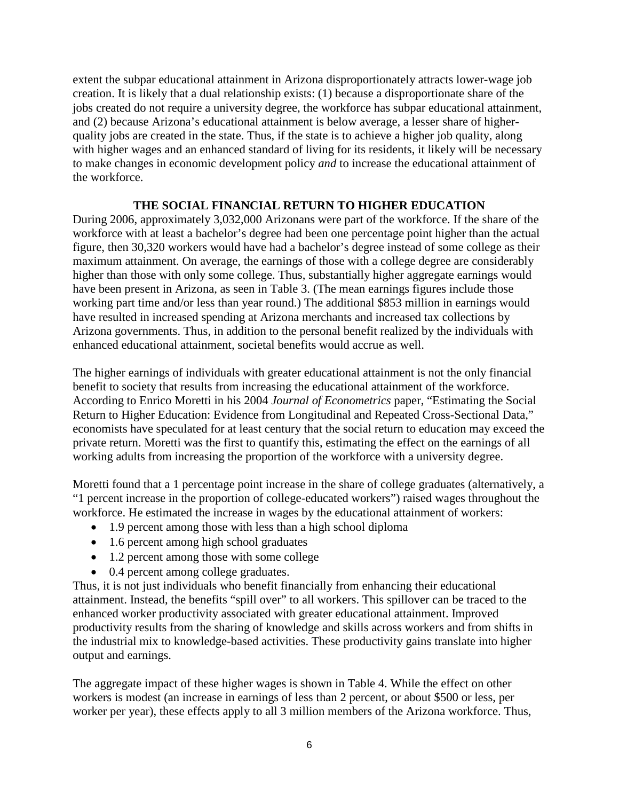extent the subpar educational attainment in Arizona disproportionately attracts lower-wage job creation. It is likely that a dual relationship exists: (1) because a disproportionate share of the jobs created do not require a university degree, the workforce has subpar educational attainment, and (2) because Arizona's educational attainment is below average, a lesser share of higherquality jobs are created in the state. Thus, if the state is to achieve a higher job quality, along with higher wages and an enhanced standard of living for its residents, it likely will be necessary to make changes in economic development policy *and* to increase the educational attainment of the workforce.

#### **THE SOCIAL FINANCIAL RETURN TO HIGHER EDUCATION**

During 2006, approximately 3,032,000 Arizonans were part of the workforce. If the share of the workforce with at least a bachelor's degree had been one percentage point higher than the actual figure, then 30,320 workers would have had a bachelor's degree instead of some college as their maximum attainment. On average, the earnings of those with a college degree are considerably higher than those with only some college. Thus, substantially higher aggregate earnings would have been present in Arizona, as seen in Table 3. (The mean earnings figures include those working part time and/or less than year round.) The additional \$853 million in earnings would have resulted in increased spending at Arizona merchants and increased tax collections by Arizona governments. Thus, in addition to the personal benefit realized by the individuals with enhanced educational attainment, societal benefits would accrue as well.

The higher earnings of individuals with greater educational attainment is not the only financial benefit to society that results from increasing the educational attainment of the workforce. According to Enrico Moretti in his 2004 *Journal of Econometrics* paper, "Estimating the Social Return to Higher Education: Evidence from Longitudinal and Repeated Cross-Sectional Data," economists have speculated for at least century that the social return to education may exceed the private return. Moretti was the first to quantify this, estimating the effect on the earnings of all working adults from increasing the proportion of the workforce with a university degree.

Moretti found that a 1 percentage point increase in the share of college graduates (alternatively, a "1 percent increase in the proportion of college-educated workers") raised wages throughout the workforce. He estimated the increase in wages by the educational attainment of workers:

- 1.9 percent among those with less than a high school diploma
- 1.6 percent among high school graduates
- 1.2 percent among those with some college
- 0.4 percent among college graduates.

Thus, it is not just individuals who benefit financially from enhancing their educational attainment. Instead, the benefits "spill over" to all workers. This spillover can be traced to the enhanced worker productivity associated with greater educational attainment. Improved productivity results from the sharing of knowledge and skills across workers and from shifts in the industrial mix to knowledge-based activities. These productivity gains translate into higher output and earnings.

The aggregate impact of these higher wages is shown in Table 4. While the effect on other workers is modest (an increase in earnings of less than 2 percent, or about \$500 or less, per worker per year), these effects apply to all 3 million members of the Arizona workforce. Thus,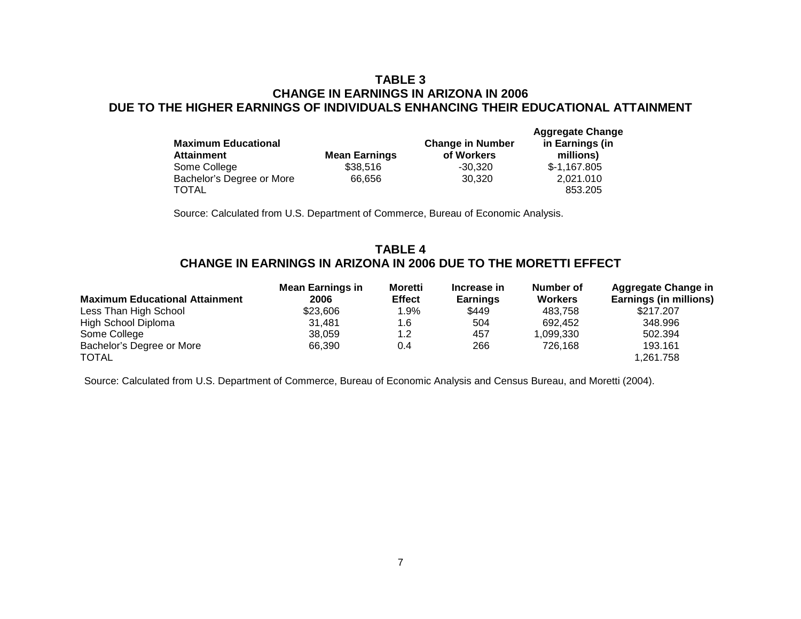#### **TABLE 3 CHANGE IN EARNINGS IN ARIZONA IN 2006 DUE TO THE HIGHER EARNINGS OF INDIVIDUALS ENHANCING THEIR EDUCATIONAL ATTAINMENT**

| <b>Maximum Educational</b> |                      | <b>Change in Number</b> | <b>Aggregate Change</b><br>in Earnings (in |  |
|----------------------------|----------------------|-------------------------|--------------------------------------------|--|
| <b>Attainment</b>          | <b>Mean Earnings</b> | of Workers              | millions)                                  |  |
| Some College               | \$38,516             | $-30.320$               | $$-1,167.805$                              |  |
| Bachelor's Degree or More  | 66,656               | 30.320                  | 2,021.010                                  |  |
| <b>TOTAL</b>               |                      |                         | 853.205                                    |  |

Source: Calculated from U.S. Department of Commerce, Bureau of Economic Analysis.

### **TABLE 4 CHANGE IN EARNINGS IN ARIZONA IN 2006 DUE TO THE MORETTI EFFECT**

|                                       | <b>Mean Earnings in</b> | <b>Moretti</b> | Increase in     | Number of      | <b>Aggregate Change in</b> |
|---------------------------------------|-------------------------|----------------|-----------------|----------------|----------------------------|
| <b>Maximum Educational Attainment</b> | 2006                    | <b>Effect</b>  | <b>Earnings</b> | <b>Workers</b> | Earnings (in millions)     |
| Less Than High School                 | \$23,606                | 1.9%           | \$449           | 483.758        | \$217,207                  |
| High School Diploma                   | 31.481                  | 1.6            | 504             | 692.452        | 348.996                    |
| Some College                          | 38.059                  | 1.2            | 457             | 1,099,330      | 502.394                    |
| Bachelor's Degree or More             | 66.390                  | 0.4            | 266             | 726.168        | 193.161                    |
| <b>TOTAL</b>                          |                         |                |                 |                | 1,261.758                  |

Source: Calculated from U.S. Department of Commerce, Bureau of Economic Analysis and Census Bureau, and Moretti (2004).